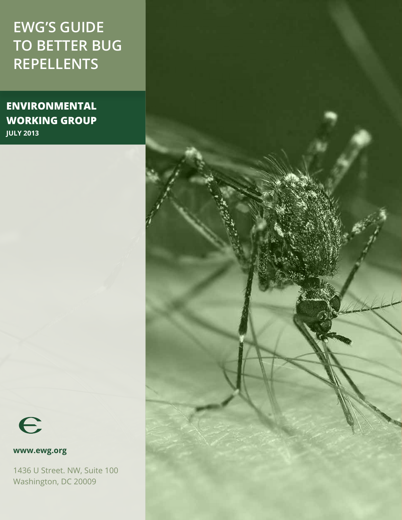# **EWG's Guide to Better Bug Repellents**

**environmental working group July 2013**



**www.ewg.org** 

1436 U Street. NW, Suite 100 Washington, DC 20009

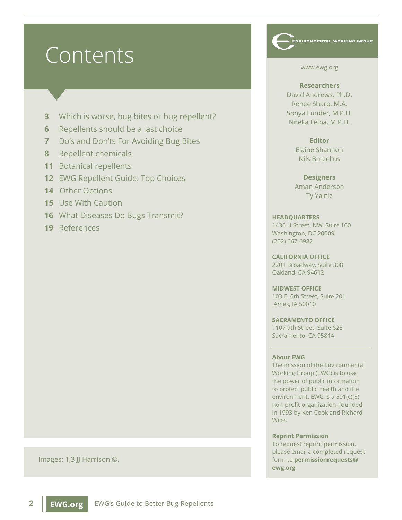# Contents

- **3** Which is worse, bug bites or bug repellent?
- **6** Repellents should be a last choice
- **7** Do's and Don'ts For Avoiding Bug Bites
- **8** Repellent chemicals
- **11** Botanical repellents
- **12** EWG Repellent Guide: Top Choices
- **14** Other Options
- **15** Use With Caution
- **16** What Diseases Do Bugs Transmit?
- **19** References

#### Images: 1,3 JJ Harrison ©.

**2 EWG.org** EWG's Guide to Better Bug Repellents

#### www.ewg.org

**NVIRONMENTAL WORKING GROUP** 

#### **Researchers**

David Andrews, Ph.D. Renee Sharp, M.A. Sonya Lunder, M.P.H. Nneka Leiba, M.P.H.

#### **Editor**

Elaine Shannon Nils Bruzelius

#### **Designers**

Aman Anderson Ty Yalniz

#### **HEADQUARTERS**

1436 U Street. NW, Suite 100 Washington, DC 20009 (202) 667-6982

**CALIFORNIA OFFICE**  2201 Broadway, Suite 308 Oakland, CA 94612

**MIDWEST OFFICE**  103 E. 6th Street, Suite 201 Ames, IA 50010

**SACRAMENTO OFFICE** 1107 9th Street, Suite 625 Sacramento, CA 95814

#### **About EWG**

The mission of the Environmental Working Group (EWG) is to use the power of public information to protect public health and the environment. EWG is a 501(c)(3) non-profit organization, founded in 1993 by Ken Cook and Richard Wiles.

#### **Reprint Permission**

To request reprint permission, please email a completed request form to **permissionrequests@ ewg.org**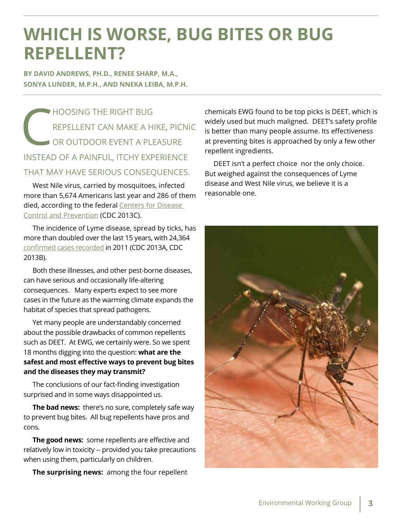# **Which is worse, bug bites or bug repellent?**

**By David Andrews, Ph.D., Renee Sharp, M.A., Sonya Lunder, M.P.H., and Nneka Leiba, M.P.H.**

HOOSING THE RIGHT B<br>REPELLENT CAN MAKE<br>OR OUTDOOR EVENT A repellent can make a hike, picnic or outdoor event a pleasure instead of a painful, itchy experience that may have serious consequences.

West Nile virus, carried by mosquitoes, infected more than 5,674 Americans last year and 286 of them died, according to the federal Centers for Disease [Control and Prevention](http://www.cdc.gov/westnile/statsMaps/cumMapsData.html) (CDC 2013C).

The incidence of Lyme disease, spread by ticks, has more than doubled over the last 15 years, with 24,364 [confirmed cases recorded](http://www.cdc.gov/lyme/stats/chartstables/reportedcases_statelocality.html) in 2011 (CDC 2013A, CDC 2013B).

Both these illnesses, and other pest-borne diseases, can have serious and occasionally life-altering consequences. Many experts expect to see more cases in the future as the warming climate expands the habitat of species that spread pathogens.

Yet many people are understandably concerned about the possible drawbacks of common repellents such as DEET. At EWG, we certainly were. So we spent 18 months digging into the question: **what are the safest and most effective ways to prevent bug bites and the diseases they may transmit?** 

The conclusions of our fact-finding investigation surprised and in some ways disappointed us.

**The bad news:** there's no sure, completely safe way to prevent bug bites. All bug repellents have pros and cons.

**The good news:** some repellents are effective and relatively low in toxicity -- provided you take precautions when using them, particularly on children.

**The surprising news:** among the four repellent

chemicals EWG found to be top picks is DEET, which is widely used but much maligned. DEET's safety profile is better than many people assume. Its effectiveness at preventing bites is approached by only a few other repellent ingredients.

DEET isn't a perfect choice nor the only choice. But weighed against the consequences of Lyme disease and West Nile virus, we believe it is a reasonable one.

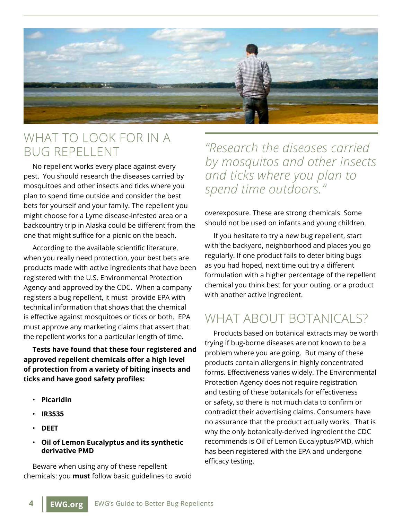

#### What to look for in a bug repellent

No repellent works every place against every pest. You should research the diseases carried by mosquitoes and other insects and ticks where you plan to spend time outside and consider the best bets for yourself and your family. The repellent you might choose for a Lyme disease-infested area or a backcountry trip in Alaska could be different from the one that might suffice for a picnic on the beach.

According to the available scientific literature, when you really need protection, your best bets are products made with active ingredients that have been registered with the U.S. Environmental Protection Agency and approved by the CDC. When a company registers a bug repellent, it must provide EPA with technical information that shows that the chemical is effective against mosquitoes or ticks or both. EPA must approve any marketing claims that assert that the repellent works for a particular length of time.

**Tests have found that these four registered and approved repellent chemicals offer a high level of protection from a variety of biting insects and ticks and have good safety profiles:**

- **Picaridin**
- **IR3535**
- **DEET**
- **Oil of Lemon Eucalyptus and its synthetic derivative PMD**

Beware when using any of these repellent chemicals: you **must** follow basic guidelines to avoid

*"Research the diseases carried by mosquitos and other insects and ticks where you plan to spend time outdoors."*

overexposure. These are strong chemicals. Some should not be used on infants and young children.

If you hesitate to try a new bug repellent, start with the backyard, neighborhood and places you go regularly. If one product fails to deter biting bugs as you had hoped, next time out try a different formulation with a higher percentage of the repellent chemical you think best for your outing, or a product with another active ingredient.

## WHAT ABOUT BOTANICALS?

Products based on botanical extracts may be worth trying if bug-borne diseases are not known to be a problem where you are going. But many of these products contain allergens in highly concentrated forms. Effectiveness varies widely. The Environmental Protection Agency does not require registration and testing of these botanicals for effectiveness or safety, so there is not much data to confirm or contradict their advertising claims. Consumers have no assurance that the product actually works. That is why the only botanically-derived ingredient the CDC recommends is Oil of Lemon Eucalyptus/PMD, which has been registered with the EPA and undergone efficacy testing.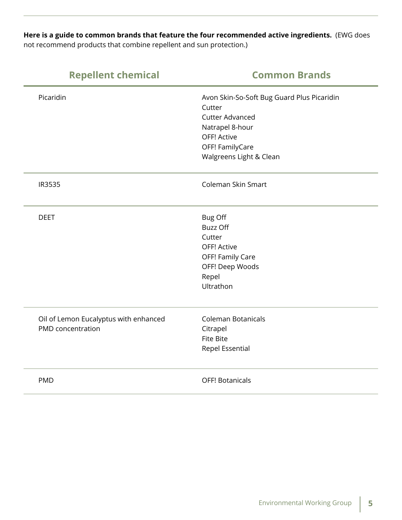**Here is a guide to common brands that feature the four recommended active ingredients.** (EWG does not recommend products that combine repellent and sun protection.)

| <b>Repellent chemical</b>                                  | <b>Common Brands</b>                                                                                                                                           |
|------------------------------------------------------------|----------------------------------------------------------------------------------------------------------------------------------------------------------------|
| Picaridin                                                  | Avon Skin-So-Soft Bug Guard Plus Picaridin<br>Cutter<br><b>Cutter Advanced</b><br>Natrapel 8-hour<br>OFF! Active<br>OFF! FamilyCare<br>Walgreens Light & Clean |
| IR3535                                                     | Coleman Skin Smart                                                                                                                                             |
| <b>DEET</b>                                                | <b>Bug Off</b><br><b>Buzz Off</b><br>Cutter<br>OFF! Active<br>OFF! Family Care<br>OFF! Deep Woods<br>Repel<br>Ultrathon                                        |
| Oil of Lemon Eucalyptus with enhanced<br>PMD concentration | <b>Coleman Botanicals</b><br>Citrapel<br><b>Fite Bite</b><br>Repel Essential                                                                                   |
| <b>PMD</b>                                                 | <b>OFF! Botanicals</b>                                                                                                                                         |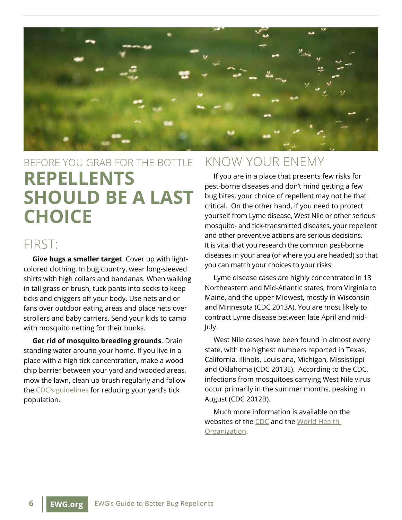

# Before you grab for the bottle **Repellents should be a last choice**

#### FIRST:

**Give bugs a smaller target**. Cover up with lightcolored clothing. In bug country, wear long-sleeved shirts with high collars and bandanas. When walking in tall grass or brush, tuck pants into socks to keep ticks and chiggers off your body. Use nets and or fans over outdoor eating areas and place nets over strollers and baby carriers. Send your kids to camp with mosquito netting for their bunks.

**Get rid of mosquito breeding grounds**. Drain standing water around your home. If you live in a place with a high tick concentration, make a wood chip barrier between your yard and wooded areas, mow the lawn, clean up brush regularly and follow the [CDC's guidelines](http://www.cdc.gov/ticks/avoid/in_the_yard.html) for reducing your yard's tick population.

#### Know your enemy

If you are in a place that presents few risks for pest-borne diseases and don't mind getting a few bug bites, your choice of repellent may not be that critical. On the other hand, if you need to protect yourself from Lyme disease, West Nile or other serious mosquito- and tick-transmitted diseases, your repellent and other preventive actions are serious decisions. It is vital that you research the common pest-borne diseases in your area (or where you are headed) so that you can match your choices to your risks.

Lyme disease cases are highly concentrated in 13 Northeastern and Mid-Atlantic states, from Virginia to Maine, and the upper Midwest, mostly in Wisconsin and Minnesota (CDC 2013A). You are most likely to contract Lyme disease between late April and mid-July.

West Nile cases have been found in almost every state, with the highest numbers reported in Texas, California, Illinois, Louisiana, Michigan, Mississippi and Oklahoma (CDC 2013E). According to the CDC, infections from mosquitoes carrying West Nile virus occur primarily in the summer months, peaking in August (CDC 2012B).

Much more information is available on the websites of [the CDC](http://www.cdc.gov) and the [World Health](http://www.who.int)  [Organization](http://www.who.int).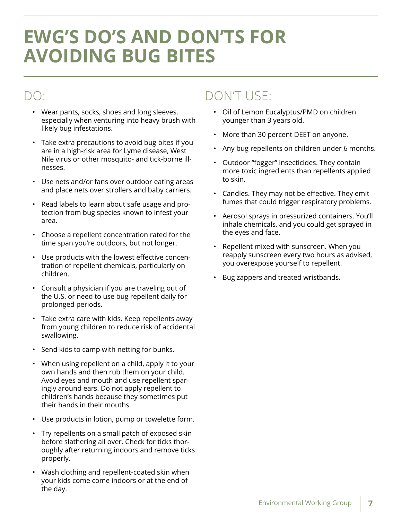# **EWG's Do's and Don'ts for avoiding bug bites**

## Do:

- Wear pants, socks, shoes and long sleeves, especially when venturing into heavy brush with likely bug infestations.
- Take extra precautions to avoid bug bites if you are in a high-risk area for Lyme disease, West Nile virus or other mosquito- and tick-borne illnesses.
- Use nets and/or fans over outdoor eating areas and place nets over strollers and baby carriers.
- Read labels to learn about safe usage and protection from bug species known to infest your area.
- Choose a repellent concentration rated for the time span you're outdoors, but not longer.
- Use products with the lowest effective concentration of repellent chemicals, particularly on children.
- Consult a physician if you are traveling out of the U.S. or need to use bug repellent daily for prolonged periods.
- Take extra care with kids. Keep repellents away from young children to reduce risk of accidental swallowing.
- Send kids to camp with netting for bunks.
- When using repellent on a child, apply it to your own hands and then rub them on your child. Avoid eyes and mouth and use repellent sparingly around ears. Do not apply repellent to children's hands because they sometimes put their hands in their mouths.
- Use products in lotion, pump or towelette form.
- Try repellents on a small patch of exposed skin before slathering all over. Check for ticks thoroughly after returning indoors and remove ticks properly.
- Wash clothing and repellent-coated skin when your kids come come indoors or at the end of the day.

## Don't use:

- Oil of Lemon Eucalyptus/PMD on children younger than 3 years old.
- More than 30 percent DEET on anyone.
- Any bug repellents on children under 6 months.
- Outdoor "fogger" insecticides. They contain more toxic ingredients than repellents applied to skin.
- Candles. They may not be effective. They emit fumes that could trigger respiratory problems.
- Aerosol sprays in pressurized containers. You'll inhale chemicals, and you could get sprayed in the eyes and face.
- Repellent mixed with sunscreen. When you reapply sunscreen every two hours as advised, you overexpose yourself to repellent.
- Bug zappers and treated wristbands.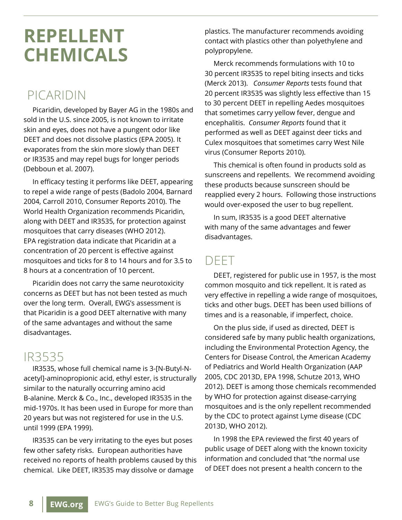# **REPELLENT CHEMICALS**

## PICARIDIN

Picaridin, developed by Bayer AG in the 1980s and sold in the U.S. since 2005, is not known to irritate skin and eyes, does not have a pungent odor like DEET and does not dissolve plastics (EPA 2005). It evaporates from the skin more slowly than DEET or IR3535 and may repel bugs for longer periods (Debboun et al. 2007).

In efficacy testing it performs like DEET, appearing to repel a wide range of pests (Badolo 2004, Barnard 2004, Carroll 2010, Consumer Reports 2010). The World Health Organization recommends Picaridin, along with DEET and IR3535, for protection against mosquitoes that carry diseases (WHO 2012). EPA registration data indicate that Picaridin at a concentration of 20 percent is effective against mosquitoes and ticks for 8 to 14 hours and for 3.5 to 8 hours at a concentration of 10 percent.

Picaridin does not carry the same neurotoxicity concerns as DEET but has not been tested as much over the long term. Overall, EWG's assessment is that Picaridin is a good DEET alternative with many of the same advantages and without the same disadvantages.

## IR3535

IR3535, whose full chemical name is 3-[N-Butyl-Nacetyl]-aminopropionic acid, ethyl ester, is structurally similar to the naturally occurring amino acid B-alanine. Merck & Co., Inc., developed IR3535 in the mid-1970s. It has been used in Europe for more than 20 years but was not registered for use in the U.S. until 1999 (EPA 1999).

IR3535 can be very irritating to the eyes but poses few other safety risks. European authorities have received no reports of health problems caused by this chemical. Like DEET, IR3535 may dissolve or damage

plastics. The manufacturer recommends avoiding contact with plastics other than polyethylene and polypropylene.

Merck recommends formulations with 10 to 30 percent IR3535 to repel biting insects and ticks (Merck 2013). *Consumer Reports* tests found that 20 percent IR3535 was slightly less effective than 15 to 30 percent DEET in repelling Aedes mosquitoes that sometimes carry yellow fever, dengue and encephalitis. *Consumer Reports* found that it performed as well as DEET against deer ticks and Culex mosquitoes that sometimes carry West Nile virus (Consumer Reports 2010).

This chemical is often found in products sold as sunscreens and repellents. We recommend avoiding these products because sunscreen should be reapplied every 2 hours. Following those instructions would over-exposed the user to bug repellent.

In sum, IR3535 is a good DEET alternative with many of the same advantages and fewer disadvantages.

#### DEET

DEET, registered for public use in 1957, is the most common mosquito and tick repellent. It is rated as very effective in repelling a wide range of mosquitoes, ticks and other bugs. DEET has been used billions of times and is a reasonable, if imperfect, choice.

On the plus side, if used as directed, DEET is considered safe by many public health organizations, including the Environmental Protection Agency, the Centers for Disease Control, the American Academy of Pediatrics and World Health Organization (AAP 2005, CDC 2013D, EPA 1998, Schutze 2013, WHO 2012). DEET is among those chemicals recommended by WHO for protection against disease-carrying mosquitoes and is the only repellent recommended by the CDC to protect against Lyme disease (CDC 2013D, WHO 2012).

In 1998 the EPA reviewed the first 40 years of public usage of DEET along with the known toxicity information and concluded that "the normal use of DEET does not present a health concern to the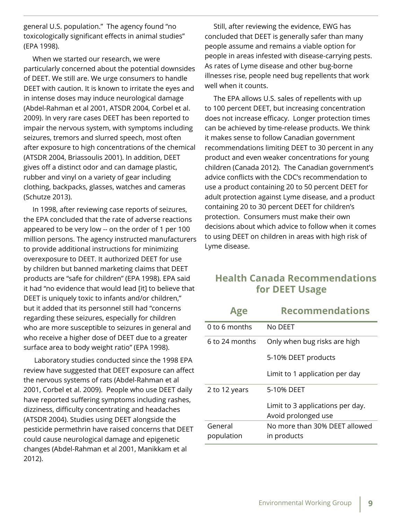general U.S. population." The agency found "no toxicologically significant effects in animal studies" (EPA 1998).

When we started our research, we were particularly concerned about the potential downsides of DEET. We still are. We urge consumers to handle DEET with caution. It is known to irritate the eyes and in intense doses may induce neurological damage (Abdel-Rahman et al 2001, ATSDR 2004, Corbel et al. 2009). In very rare cases DEET has been reported to impair the nervous system, with symptoms including seizures, tremors and slurred speech, most often after exposure to high concentrations of the chemical (ATSDR 2004, Briassoulis 2001). In addition, DEET gives off a distinct odor and can damage plastic, rubber and vinyl on a variety of gear including clothing, backpacks, glasses, watches and cameras (Schutze 2013).

In 1998, after reviewing case reports of seizures, the EPA concluded that the rate of adverse reactions appeared to be very low -- on the order of 1 per 100 million persons. The agency instructed manufacturers to provide additional instructions for minimizing overexposure to DEET. It authorized DEET for use by children but banned marketing claims that DEET products are "safe for children" (EPA 1998). EPA said it had "no evidence that would lead [it] to believe that DEET is uniquely toxic to infants and/or children," but it added that its personnel still had "concerns regarding these seizures, especially for children who are more susceptible to seizures in general and who receive a higher dose of DEET due to a greater surface area to body weight ratio" (EPA 1998).

 Laboratory studies conducted since the 1998 EPA review have suggested that DEET exposure can affect the nervous systems of rats (Abdel-Rahman et al 2001, Corbel et al. 2009). People who use DEET daily have reported suffering symptoms including rashes, dizziness, difficulty concentrating and headaches (ATSDR 2004). Studies using DEET alongside the pesticide permethrin have raised concerns that DEET could cause neurological damage and epigenetic changes (Abdel-Rahman et al 2001, Manikkam et al 2012).

Still, after reviewing the evidence, EWG has concluded that DEET is generally safer than many people assume and remains a viable option for people in areas infested with disease-carrying pests. As rates of Lyme disease and other bug-borne illnesses rise, people need bug repellents that work well when it counts.

The EPA allows U.S. sales of repellents with up to 100 percent DEET, but increasing concentration does not increase efficacy. Longer protection times can be achieved by time-release products. We think it makes sense to follow Canadian government recommendations limiting DEET to 30 percent in any product and even weaker concentrations for young children (Canada 2012). The Canadian government's advice conflicts with the CDC's recommendation to use a product containing 20 to 50 percent DEET for adult protection against Lyme disease, and a product containing 20 to 30 percent DEET for children's protection. Consumers must make their own decisions about which advice to follow when it comes to using DEET on children in areas with high risk of Lyme disease.

#### **Health Canada Recommendations for DEET Usage**

| Age            | <b>Recommendations</b>           |
|----------------|----------------------------------|
| 0 to 6 months  | No DEET                          |
| 6 to 24 months | Only when bug risks are high     |
|                | 5-10% DEET products              |
|                | Limit to 1 application per day   |
| 2 to 12 years  | 5-10% DEET                       |
|                | Limit to 3 applications per day. |
|                | Avoid prolonged use              |
| General        | No more than 30% DEET allowed    |
| population     | in products                      |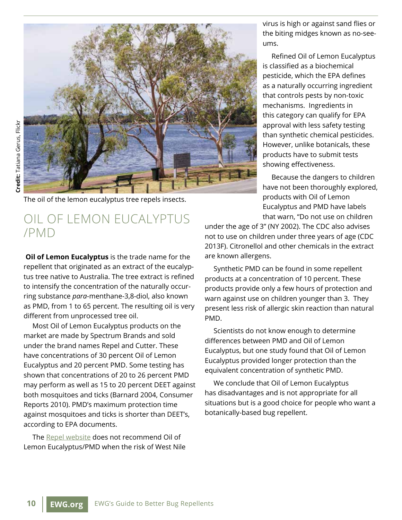

The oil of the lemon eucalyptus tree repels insects.

#### Oil of Lemon Eucalyptus /PMD

**Oil of Lemon Eucalyptus** is the trade name for the repellent that originated as an extract of the eucalyptus tree native to Australia. The tree extract is refined to intensify the concentration of the naturally occurring substance *para*-menthane-3,8-diol, also known as PMD, from 1 to 65 percent. The resulting oil is very different from unprocessed tree oil.

Most Oil of Lemon Eucalyptus products on the market are made by Spectrum Brands and sold under the brand names Repel and Cutter. These have concentrations of 30 percent Oil of Lemon Eucalyptus and 20 percent PMD. Some testing has shown that concentrations of 20 to 26 percent PMD may perform as well as 15 to 20 percent DEET against both mosquitoes and ticks (Barnard 2004, Consumer Reports 2010). PMD's maximum protection time against mosquitoes and ticks is shorter than DEET's, according to EPA documents.

The [Repel website](http://www.repel.com/Products-and-Solutions/Natural-Insect-Repellent/Lemon-Eucalyptus.aspx) does not recommend Oil of Lemon Eucalyptus/PMD when the risk of West Nile virus is high or against sand flies or the biting midges known as no-seeums.

Refined Oil of Lemon Eucalyptus is classified as a biochemical pesticide, which the EPA defines as a naturally occurring ingredient that controls pests by non-toxic mechanisms. Ingredients in this category can qualify for EPA approval with less safety testing than synthetic chemical pesticides. However, unlike botanicals, these products have to submit tests showing effectiveness.

Because the dangers to children have not been thoroughly explored, products with Oil of Lemon Eucalyptus and PMD have labels that warn, "Do not use on children

under the age of 3" (NY 2002). The CDC also advises not to use on children under three years of age (CDC 2013F). Citronellol and other chemicals in the extract are known allergens.

Synthetic PMD can be found in some repellent products at a concentration of 10 percent. These products provide only a few hours of protection and warn against use on children younger than 3. They present less risk of allergic skin reaction than natural PMD.

Scientists do not know enough to determine differences between PMD and Oil of Lemon Eucalyptus, but one study found that Oil of Lemon Eucalyptus provided longer protection than the equivalent concentration of synthetic PMD.

We conclude that Oil of Lemon Eucalyptus has disadvantages and is not appropriate for all situations but is a good choice for people who want a botanically-based bug repellent.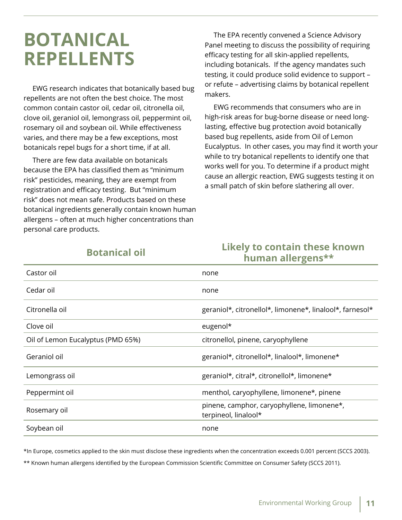# **Botanical repellents**

EWG research indicates that botanically based bug repellents are not often the best choice. The most common contain castor oil, cedar oil, citronella oil, clove oil, geraniol oil, lemongrass oil, peppermint oil, rosemary oil and soybean oil. While effectiveness varies, and there may be a few exceptions, most botanicals repel bugs for a short time, if at all.

There are few data available on botanicals because the EPA has classified them as "minimum risk" pesticides, meaning, they are exempt from registration and efficacy testing. But "minimum risk" does not mean safe. Products based on these botanical ingredients generally contain known human allergens – often at much higher concentrations than personal care products.

The EPA recently convened a Science Advisory Panel meeting to discuss the possibility of requiring efficacy testing for all skin-applied repellents, including botanicals. If the agency mandates such testing, it could produce solid evidence to support – or refute – advertising claims by botanical repellent makers.

EWG recommends that consumers who are in high-risk areas for bug-borne disease or need longlasting, effective bug protection avoid botanically based bug repellents, aside from Oil of Lemon Eucalyptus. In other cases, you may find it worth your while to try botanical repellents to identify one that works well for you. To determine if a product might cause an allergic reaction, EWG suggests testing it on a small patch of skin before slathering all over.

#### **Botanical oil Likely to contain these known human allergens\*\***

| Castor oil                        | none                                                               |
|-----------------------------------|--------------------------------------------------------------------|
| Cedar oil                         | none                                                               |
| Citronella oil                    | geraniol*, citronellol*, limonene*, linalool*, farnesol*           |
| Clove oil                         | eugenol*                                                           |
| Oil of Lemon Eucalyptus (PMD 65%) | citronellol, pinene, caryophyllene                                 |
| Geraniol oil                      | geraniol*, citronellol*, linalool*, limonene*                      |
| Lemongrass oil                    | geraniol*, citral*, citronellol*, limonene*                        |
| Peppermint oil                    | menthol, caryophyllene, limonene*, pinene                          |
| Rosemary oil                      | pinene, camphor, caryophyllene, limonene*,<br>terpineol, linalool* |
| Soybean oil                       | none                                                               |

\*In Europe, cosmetics applied to the skin must disclose these ingredients when the concentration exceeds 0.001 percent (SCCS 2003).

\*\* Known human allergens identified by the European Commission Scientific Committee on Consumer Safety (SCCS 2011).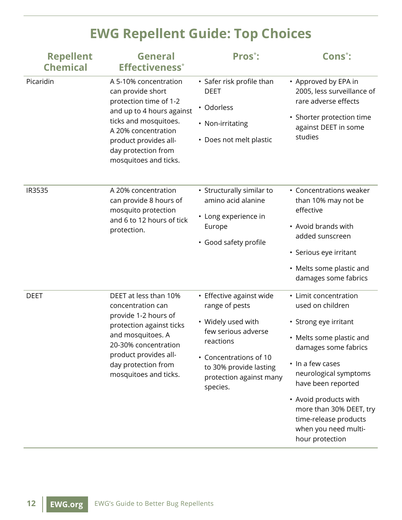# **EWG Repellent Guide: Top Choices**

| <b>Repellent</b><br><b>Chemical</b> | <b>General</b><br><b>Effectiveness</b> *                                                                                                                                                                                   | Pros <sup>*</sup> :                                                                                                                                                                             | Cons <sup>*</sup> :                                                                                                                                                                                                                                                                                               |
|-------------------------------------|----------------------------------------------------------------------------------------------------------------------------------------------------------------------------------------------------------------------------|-------------------------------------------------------------------------------------------------------------------------------------------------------------------------------------------------|-------------------------------------------------------------------------------------------------------------------------------------------------------------------------------------------------------------------------------------------------------------------------------------------------------------------|
| Picaridin                           | A 5-10% concentration<br>can provide short<br>protection time of 1-2<br>and up to 4 hours against<br>ticks and mosquitoes.<br>A 20% concentration<br>product provides all-<br>day protection from<br>mosquitoes and ticks. | • Safer risk profile than<br><b>DEET</b><br>• Odorless<br>• Non-irritating<br>• Does not melt plastic                                                                                           | • Approved by EPA in<br>2005, less surveillance of<br>rare adverse effects<br>· Shorter protection time<br>against DEET in some<br>studies                                                                                                                                                                        |
| IR3535                              | A 20% concentration<br>can provide 8 hours of<br>mosquito protection<br>and 6 to 12 hours of tick<br>protection.                                                                                                           | • Structurally similar to<br>amino acid alanine<br>• Long experience in<br>Europe<br>• Good safety profile                                                                                      | • Concentrations weaker<br>than 10% may not be<br>effective<br>• Avoid brands with<br>added sunscreen<br>• Serious eye irritant<br>• Melts some plastic and<br>damages some fabrics                                                                                                                               |
| <b>DEET</b>                         | DEET at less than 10%<br>concentration can<br>provide 1-2 hours of<br>protection against ticks<br>and mosquitoes. A<br>20-30% concentration<br>product provides all-<br>day protection from<br>mosquitoes and ticks.       | • Effective against wide<br>range of pests<br>• Widely used with<br>few serious adverse<br>reactions<br>• Concentrations of 10<br>to 30% provide lasting<br>protection against many<br>species. | • Limit concentration<br>used on children<br>• Strong eye irritant<br>• Melts some plastic and<br>damages some fabrics<br>• In a few cases<br>neurological symptoms<br>have been reported<br>• Avoid products with<br>more than 30% DEET, try<br>time-release products<br>when you need multi-<br>hour protection |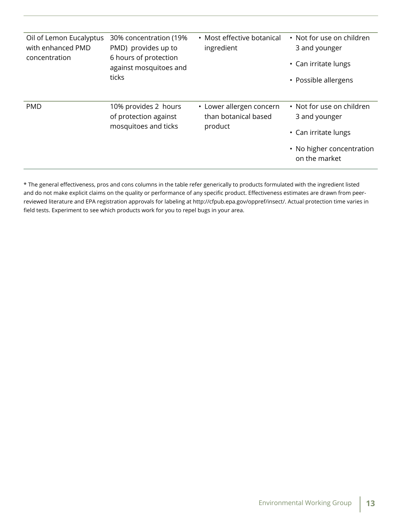| Oil of Lemon Eucalyptus<br>with enhanced PMD<br>concentration | 30% concentration (19%)<br>PMD) provides up to<br>6 hours of protection<br>against mosquitoes and<br>ticks | • Most effective botanical<br>ingredient                    | • Not for use on children<br>3 and younger<br>• Can irritate lungs<br>• Possible allergens                       |
|---------------------------------------------------------------|------------------------------------------------------------------------------------------------------------|-------------------------------------------------------------|------------------------------------------------------------------------------------------------------------------|
| <b>PMD</b>                                                    | 10% provides 2 hours<br>of protection against<br>mosquitoes and ticks                                      | • Lower allergen concern<br>than botanical based<br>product | • Not for use on children<br>3 and younger<br>• Can irritate lungs<br>• No higher concentration<br>on the market |

\* The general effectiveness, pros and cons columns in the table refer generically to products formulated with the ingredient listed and do not make explicit claims on the quality or performance of any specific product. Effectiveness estimates are drawn from peerreviewed literature and EPA registration approvals for labeling at http://cfpub.epa.gov/oppref/insect/. Actual protection time varies in field tests. Experiment to see which products work for you to repel bugs in your area.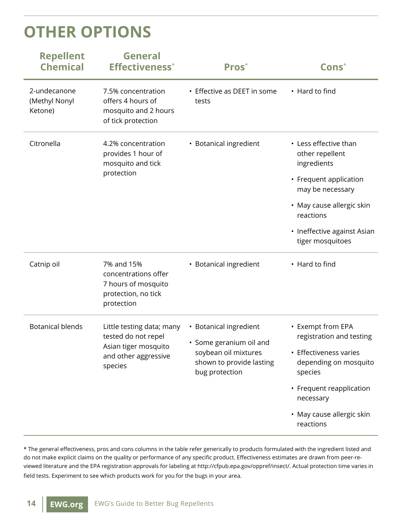# **Other options**

| <b>Repellent</b><br><b>Chemical</b>      | <b>General</b><br><b>Effectiveness</b> *                                                                    | Pros <sup>*</sup>                                                                                                       | $\mathsf{Cons}^*$                                                                                                                                                                                  |
|------------------------------------------|-------------------------------------------------------------------------------------------------------------|-------------------------------------------------------------------------------------------------------------------------|----------------------------------------------------------------------------------------------------------------------------------------------------------------------------------------------------|
| 2-undecanone<br>(Methyl Nonyl<br>Ketone) | 7.5% concentration<br>offers 4 hours of<br>mosquito and 2 hours<br>of tick protection                       | • Effective as DEET in some<br>tests                                                                                    | • Hard to find                                                                                                                                                                                     |
| Citronella                               | 4.2% concentration<br>provides 1 hour of<br>mosquito and tick<br>protection                                 | • Botanical ingredient                                                                                                  | • Less effective than<br>other repellent<br>ingredients<br>• Frequent application<br>may be necessary<br>• May cause allergic skin<br>reactions<br>• Ineffective against Asian<br>tiger mosquitoes |
| Catnip oil                               | 7% and 15%<br>concentrations offer<br>7 hours of mosquito<br>protection, no tick<br>protection              | • Botanical ingredient                                                                                                  | • Hard to find                                                                                                                                                                                     |
| <b>Botanical blends</b>                  | Little testing data; many<br>tested do not repel<br>Asian tiger mosquito<br>and other aggressive<br>species | • Botanical ingredient<br>• Some geranium oil and<br>soybean oil mixtures<br>shown to provide lasting<br>bug protection | • Exempt from EPA<br>registration and testing<br>• Effectiveness varies<br>depending on mosquito<br>species<br>• Frequent reapplication<br>necessary<br>• May cause allergic skin<br>reactions     |

\* The general effectiveness, pros and cons columns in the table refer generically to products formulated with the ingredient listed and do not make explicit claims on the quality or performance of any specific product. Effectiveness estimates are drawn from peer-reviewed literature and the EPA registration approvals for labeling at [http://cfpub.epa.gov/oppref/insect/.](http://cfpub.epa.gov/oppref/insect/) Actual protection time varies in field tests. Experiment to see which products work for you for the bugs in your area.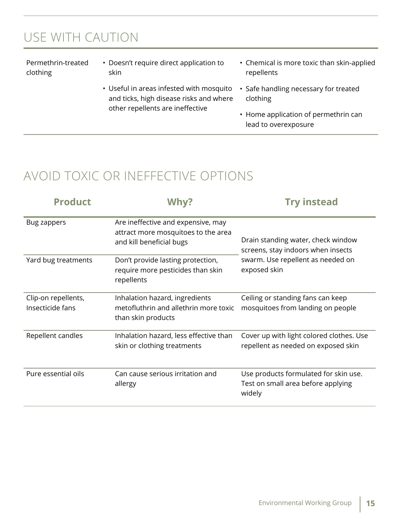## Use with Caution

Permethrin-treated clothing

- Doesn't require direct application to skin
	- Useful in areas infested with mosquito and ticks, high disease risks and where other repellents are ineffective
- Chemical is more toxic than skin-applied repellents
- Safe handling necessary for treated clothing
- Home application of permethrin can lead to overexposure

## Avoid Toxic or Ineffective Options

| <b>Product</b>                          | Why?                                                                                                  | <b>Try instead</b>                                                                    |  |
|-----------------------------------------|-------------------------------------------------------------------------------------------------------|---------------------------------------------------------------------------------------|--|
| Bug zappers                             | Are ineffective and expensive, may<br>attract more mosquitoes to the area<br>and kill beneficial bugs | Drain standing water, check window<br>screens, stay indoors when insects              |  |
| Yard bug treatments                     | Don't provide lasting protection,<br>require more pesticides than skin<br>repellents                  | swarm. Use repellent as needed on<br>exposed skin                                     |  |
| Clip-on repellents,<br>Insecticide fans | Inhalation hazard, ingredients<br>metofluthrin and allethrin more toxic<br>than skin products         | Ceiling or standing fans can keep<br>mosquitoes from landing on people                |  |
| Repellent candles                       | Inhalation hazard, less effective than<br>skin or clothing treatments                                 | Cover up with light colored clothes. Use<br>repellent as needed on exposed skin       |  |
| Pure essential oils                     | Can cause serious irritation and<br>allergy                                                           | Use products formulated for skin use.<br>Test on small area before applying<br>widely |  |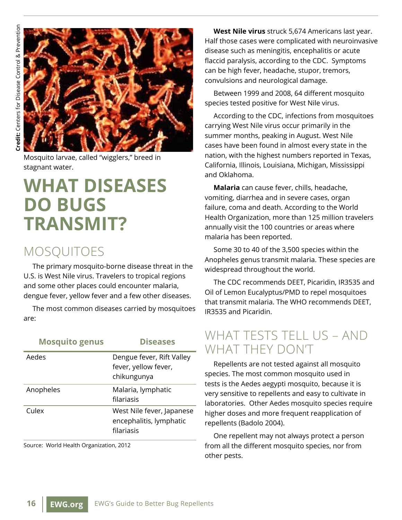

Mosquito larvae, called "wigglers," breed in stagnant water.

# **What diseases do bugs transmit?**

#### **MOSQUITOES**

The primary mosquito-borne disease threat in the U.S. is West Nile virus. Travelers to tropical regions and some other places could encounter malaria, dengue fever, yellow fever and a few other diseases.

The most common diseases carried by mosquitoes are:

| <b>Mosquito genus</b> | <b>Diseases</b>                                                    |
|-----------------------|--------------------------------------------------------------------|
| Aedes                 | Dengue fever, Rift Valley<br>fever, yellow fever,<br>chikungunya   |
| Anopheles             | Malaria, lymphatic<br>filariasis                                   |
| Culex                 | West Nile fever, Japanese<br>encephalitis, lymphatic<br>filariasis |

Source: World Health Organization, 2012

**West Nile virus** struck 5,674 Americans last year. Half those cases were complicated with neuroinvasive disease such as meningitis, encephalitis or acute flaccid paralysis, according to the CDC. Symptoms can be high fever, headache, stupor, tremors, convulsions and neurological damage.

Between 1999 and 2008, 64 different mosquito species tested positive for West Nile virus.

According to the CDC, infections from mosquitoes carrying West Nile virus occur primarily in the summer months, peaking in August. West Nile cases have been found in almost every state in the nation, with the highest numbers reported in Texas, California, Illinois, Louisiana, Michigan, Mississippi and Oklahoma.

**Malaria** can cause fever, chills, headache, vomiting, diarrhea and in severe cases, organ failure, coma and death. According to the World Health Organization, more than 125 million travelers annually visit the 100 countries or areas where malaria has been reported.

Some 30 to 40 of the 3,500 species within the Anopheles genus transmit malaria. These species are widespread throughout the world.

The CDC recommends DEET, Picaridin, IR3535 and Oil of Lemon Eucalyptus/PMD to repel mosquitoes that transmit malaria. The WHO recommends DEET, IR3535 and Picaridin.

## WHAT TESTS TELL US - AND what they don't

Repellents are not tested against all mosquito species. The most common mosquito used in tests is the Aedes aegypti mosquito, because it is very sensitive to repellents and easy to cultivate in laboratories. Other Aedes mosquito species require higher doses and more frequent reapplication of repellents (Badolo 2004).

One repellent may not always protect a person from all the different mosquito species, nor from other pests.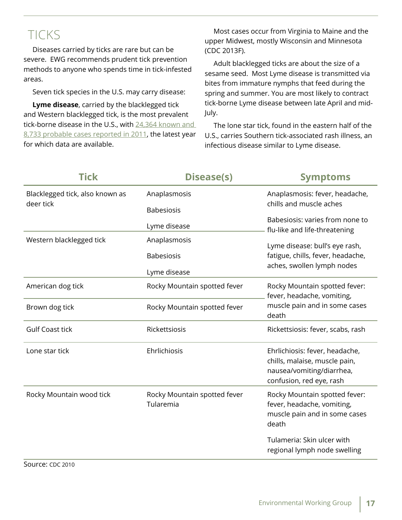## **TICKS**

Diseases carried by ticks are rare but can be severe. EWG recommends prudent tick prevention methods to anyone who spends time in tick-infested areas.

Seven tick species in the U.S. may carry disease:

**Lyme disease**, carried by the blacklegged tick and Western blacklegged tick, is the most prevalent tick-borne disease in the U.S., with 24,364 known and [8,733 probable cases reported in 2011,](http://www.cdc.gov/lyme/stats/chartstables/reportedcases_statelocality.html) the latest year for which data are available.

Most cases occur from Virginia to Maine and the upper Midwest, mostly Wisconsin and Minnesota (CDC 2013F).

Adult blacklegged ticks are about the size of a sesame seed. Most Lyme disease is transmitted via bites from immature nymphs that feed during the spring and summer. You are most likely to contract tick-borne Lyme disease between late April and mid-July.

The lone star tick, found in the eastern half of the U.S., carries Southern tick-associated rash illness, an infectious disease similar to Lyme disease.

| <b>Tick</b>                                  | <b>Disease(s)</b>                         | <b>Symptoms</b>                                                                                                          |  |
|----------------------------------------------|-------------------------------------------|--------------------------------------------------------------------------------------------------------------------------|--|
| Blacklegged tick, also known as<br>deer tick | Anaplasmosis                              | Anaplasmosis: fever, headache,<br>chills and muscle aches                                                                |  |
|                                              | <b>Babesiosis</b><br>Lyme disease         | Babesiosis: varies from none to                                                                                          |  |
| Western blacklegged tick                     | Anaplasmosis                              | flu-like and life-threatening<br>Lyme disease: bull's eye rash,                                                          |  |
|                                              | <b>Babesiosis</b>                         | fatigue, chills, fever, headache,<br>aches, swollen lymph nodes                                                          |  |
|                                              | Lyme disease                              |                                                                                                                          |  |
| American dog tick                            | Rocky Mountain spotted fever              | Rocky Mountain spotted fever:<br>fever, headache, vomiting,                                                              |  |
| Brown dog tick                               | Rocky Mountain spotted fever              | muscle pain and in some cases<br>death                                                                                   |  |
| <b>Gulf Coast tick</b>                       | Rickettsiosis                             | Rickettsiosis: fever, scabs, rash                                                                                        |  |
| Lone star tick                               | Ehrlichiosis                              | Ehrlichiosis: fever, headache,<br>chills, malaise, muscle pain,<br>nausea/vomiting/diarrhea,<br>confusion, red eye, rash |  |
| Rocky Mountain wood tick                     | Rocky Mountain spotted fever<br>Tularemia | Rocky Mountain spotted fever:<br>fever, headache, vomiting,<br>muscle pain and in some cases<br>death                    |  |
|                                              |                                           | Tulameria: Skin ulcer with<br>regional lymph node swelling                                                               |  |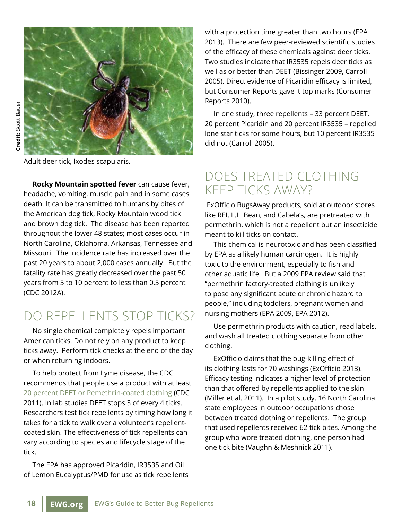

Adult deer tick, Ixodes scapularis.

**Rocky Mountain spotted fever** can cause fever, headache, vomiting, muscle pain and in some cases death. It can be transmitted to humans by bites of the American dog tick, Rocky Mountain wood tick and brown dog tick. The disease has been reported throughout the lower 48 states; most cases occur in North Carolina, Oklahoma, Arkansas, Tennessee and Missouri. The incidence rate has increased over the past 20 years to about 2,000 cases annually. But the fatality rate has greatly decreased over the past 50 years from 5 to 10 percent to less than 0.5 percent (CDC 2012A).

## Do repellents stop ticks?

No single chemical completely repels important American ticks. Do not rely on any product to keep ticks away. Perform tick checks at the end of the day or when returning indoors.

To help protect from Lyme disease, the CDC recommends that people use a product with at least [20 percent DEET or Pemethrin-coated clothing](http://www.cdc.gov/lyme/prev/on_people.html) (CDC 2011). In lab studies DEET stops 3 of every 4 ticks. Researchers test tick repellents by timing how long it takes for a tick to walk over a volunteer's repellentcoated skin. The effectiveness of tick repellents can vary according to species and lifecycle stage of the tick.

The EPA has approved Picaridin, IR3535 and Oil of Lemon Eucalyptus/PMD for use as tick repellents

with a protection time greater than two hours (EPA 2013). There are few peer-reviewed scientific studies of the efficacy of these chemicals against deer ticks. Two studies indicate that IR3535 repels deer ticks as well as or better than DEET (Bissinger 2009, Carroll 2005). Direct evidence of Picaridin efficacy is limited, but Consumer Reports gave it top marks (Consumer Reports 2010).

In one study, three repellents – 33 percent DEET, 20 percent Picaridin and 20 percent IR3535 – repelled lone star ticks for some hours, but 10 percent IR3535 did not (Carroll 2005).

#### Does treated clothing keep ticks away?

ExOfficio BugsAway products, sold at outdoor stores like REI, L.L. Bean, and Cabela's, are pretreated with permethrin, which is not a repellent but an insecticide meant to kill ticks on contact.

This chemical is neurotoxic and has been classified by EPA as a likely human carcinogen. It is highly toxic to the environment, especially to fish and other aquatic life. But a 2009 EPA review said that "permethrin factory-treated clothing is unlikely to pose any significant acute or chronic hazard to people," including toddlers, pregnant women and nursing mothers (EPA 2009, EPA 2012).

Use permethrin products with caution, read labels, and wash all treated clothing separate from other clothing.

ExOfficio claims that the bug-killing effect of its clothing lasts for 70 washings (ExOfficio 2013). Efficacy testing indicates a higher level of protection than that offered by repellents applied to the skin (Miller et al. 2011). In a pilot study, 16 North Carolina state employees in outdoor occupations chose between treated clothing or repellents. The group that used repellents received 62 tick bites. Among the group who wore treated clothing, one person had one tick bite (Vaughn & Meshnick 2011).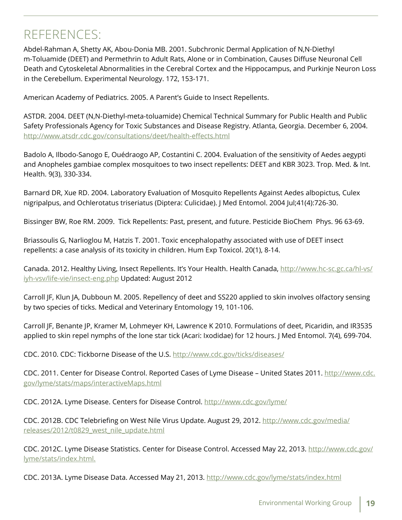## REFERENCES:

Abdel-Rahman A, Shetty AK, Abou-Donia MB. 2001. Subchronic Dermal Application of N,N-Diethyl m-Toluamide (DEET) and Permethrin to Adult Rats, Alone or in Combination, Causes Diffuse Neuronal Cell Death and Cytoskeletal Abnormalities in the Cerebral Cortex and the Hippocampus, and Purkinje Neuron Loss in the Cerebellum. Experimental Neurology. 172, 153-171.

American Academy of Pediatrics. 2005. A Parent's Guide to Insect Repellents.

ASTDR. 2004. DEET (N,N-Diethyl-meta-toluamide) Chemical Technical Summary for Public Health and Public Safety Professionals Agency for Toxic Substances and Disease Registry. Atlanta, Georgia. December 6, 2004. <http://www.atsdr.cdc.gov/consultations/deet/health-effects.html>

Badolo A, Ilbodo-Sanogo E, Ouédraogo AP, Costantini C. 2004. Evaluation of the sensitivity of Aedes aegypti and Anopheles gambiae complex mosquitoes to two insect repellents: DEET and KBR 3023. Trop. Med. & Int. Health. 9(3), 330-334.

Barnard DR, Xue RD. 2004. Laboratory Evaluation of Mosquito Repellents Against Aedes albopictus, Culex nigripalpus, and Ochlerotatus triseriatus (Diptera: Culicidae). [J Med Entomol.](http://www.ncbi.nlm.nih.gov/pubmed/15311467) 2004 Jul;41(4):726-30.

Bissinger BW, Roe RM. 2009. Tick Repellents: Past, present, and future. Pesticide BioChem Phys. 96 63-69.

Briassoulis G, Narlioglou M, Hatzis T. 2001. Toxic encephalopathy associated with use of DEET insect repellents: a case analysis of its toxicity in children. Hum Exp Toxicol. 20(1), 8-14.

Canada. 2012. Healthy Living, Insect Repellents. It's Your Health. Health Canada, [http://www.hc-sc.gc.ca/hl-vs/](http://www.hc-sc.gc.ca/hl-vs/iyh-vsv/life-vie/insect-eng.php) [iyh-vsv/life-vie/insect-eng.php](http://www.hc-sc.gc.ca/hl-vs/iyh-vsv/life-vie/insect-eng.php) Updated: August 2012

Carroll JF, Klun JA, Dubboun M. 2005. Repellency of deet and SS220 applied to skin involves olfactory sensing by two species of ticks. Medical and Veterinary Entomology 19, 101-106.

Carroll JF, Benante JP, Kramer M, Lohmeyer KH, Lawrence K 2010. Formulations of deet, Picaridin, and IR3535 applied to skin repel nymphs of the lone star tick (Acari: Ixodidae) for 12 hours. J Med Entomol. 7(4), 699-704.

CDC. 2010. CDC: Tickborne Disease of the U.S. <http://www.cdc.gov/ticks/diseases/>

CDC. 2011. Center for Disease Control. Reported Cases of Lyme Disease – United States 2011. [http://www.cdc.](http://www.cdc.gov/lyme/stats/maps/interactiveMaps.html) [gov/lyme/stats/maps/interactiveMaps.html](http://www.cdc.gov/lyme/stats/maps/interactiveMaps.html)

CDC. 2012A. Lyme Disease. Centers for Disease Control. <http://www.cdc.gov/lyme/>

CDC. 2012B. CDC Telebriefing on West Nile Virus Update. August 29, 2012. http://www.cdc.gov/media/ releases/2012/t0829\_west\_nile\_update.html

CDC. 2012C. Lyme Disease Statistics. Center for Disease Control. Accessed May 22, 2013. http://www.cdc.gov/ lyme/stats/index.html.

CDC. 2013A. Lyme Disease Data. Accessed May 21, 2013. http://www.cdc.gov/lyme/stats/index.html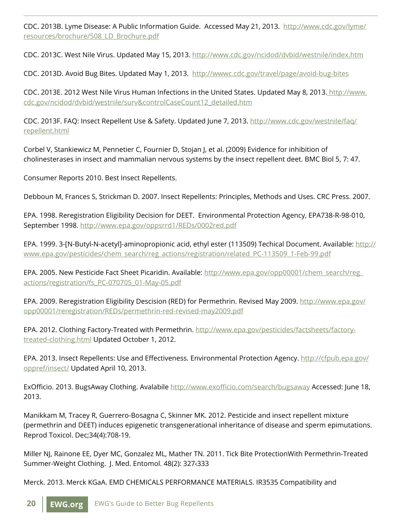CDC. 2013B. Lyme Disease: A Public Information Guide. Accessed May 21, 2013. [http://www.cdc.gov/lyme/](http://www.cdc.gov/lyme/resources/brochure/508_LD_Brochure.pdf) [resources/brochure/508\\_LD\\_Brochure.pdf](http://www.cdc.gov/lyme/resources/brochure/508_LD_Brochure.pdf)

CDC. 2013C. West Nile Virus. Updated May 15, 2013. <http://www.cdc.gov/ncidod/dvbid/westnile/index.htm>

CDC. 2013D. Avoid Bug Bites. Updated May 1, 2013. [http://wwwc.cdc.gov/travel/page/avoid-bug-bites](http://wwwnc.cdc.gov/travel/page/avoid-bug-bites)

CDC. 2013E. 2012 West Nile Virus Human Infections in the United States. Updated May 8, 2013. http://www. cdc.gov/ncidod/dvbid/westnile/surv&controlCaseCount12\_detailed.htm

CDC. 2013F. FAQ: Insect Repellent Use & Safety. Updated June 7, 2013. [http://www.cdc.gov/westnile/faq/](http://www.cdc.gov/westnile/faq/repellent.html) [repellent.html](http://www.cdc.gov/westnile/faq/repellent.html)

Corbel V, Stankiewicz M, Pennetier C, Fournier D, Stojan J, et al. (2009) Evidence for inhibition of cholinesterases in insect and mammalian nervous systems by the insect repellent deet. BMC Biol 5, 7: 47.

Consumer Reports 2010. Best Insect Repellents.

Debboun M, Frances S, Strickman D. 2007. Insect Repellents: Principles, Methods and Uses. CRC Press. 2007.

EPA. 1998. Reregistration Eligibility Decision for DEET. Environmental Protection Agency, EPA738-R-98-010, September 1998. <http://www.epa.gov/oppsrrd1/REDs/0002red.pdf>

EPA. 1999. 3-[N-Butyl-N-acetyl]-aminopropionic acid, ethyl ester (113509) Techical Document. Available: [http://](http://www.epa.gov/pesticides/chem_search/reg_actions/registration/related_PC-113509_1-Feb-99.pdf) [www.epa.gov/pesticides/chem\\_search/reg\\_actions/registration/related\\_PC-113509\\_1-Feb-99.pdf](http://www.epa.gov/pesticides/chem_search/reg_actions/registration/related_PC-113509_1-Feb-99.pdf)

EPA. 2005. New Pesticide Fact Sheet Picaridin. Available: [http://www.epa.gov/opp00001/chem\\_search/reg\\_](http://www.epa.gov/opp00001/chem_search/reg_actions/registration/fs_PC-070705_01-May-05.pdf) [actions/registration/fs\\_PC-070705\\_01-May-05.pdf](http://www.epa.gov/opp00001/chem_search/reg_actions/registration/fs_PC-070705_01-May-05.pdf)

EPA. 2009. Reregistration Eligibility Descision (RED) for Permethrin. Revised May 2009. [http://www.epa.gov/](http://www.epa.gov/opp00001/reregistration/REDs/permethrin-red-revised-may2009.pdf) [opp00001/reregistration/REDs/permethrin-red-revised-may2009.pdf](http://www.epa.gov/opp00001/reregistration/REDs/permethrin-red-revised-may2009.pdf)

EPA. 2012. Clothing Factory-Treated with Permethrin. [http://www.epa.gov/pesticides/factsheets/factory](http://www.epa.gov/pesticides/factsheets/factory-treated-clothing.html)[treated-clothing.html](http://www.epa.gov/pesticides/factsheets/factory-treated-clothing.html) Updated October 1, 2012.

EPA. 2013. Insect Repellents: Use and Effectiveness. Environmental Protection Agency. [http://cfpub.epa.gov/](http://cfpub.epa.gov/oppref/insect/) [oppref/insect/](http://cfpub.epa.gov/oppref/insect/) Updated April 10, 2013.

ExOfficio. 2013. BugsAway Clothing. Avalabile <http://www.exofficio.com/search/bugsaway> Accessed: June 18, 2013.

Manikkam M, Tracey R, Guerrero-Bosagna C, Skinner MK. 2012. Pesticide and insect repellent mixture (permethrin and DEET) induces epigenetic transgenerational inheritance of disease and sperm epimutations. Reprod Toxicol. Dec;34(4):708-19.

Miller NJ, Rainone EE, Dyer MC, Gonzalez ML, Mather TN. 2011. Tick Bite ProtectionWith Permethrin-Treated Summer-Weight Clothing. J. Med. Entomol. 48(2): 327‹333

Merck. 2013. Merck KGaA. EMD CHEMICALS PERFORMANCE MATERIALS. IR3535 Compatibility and